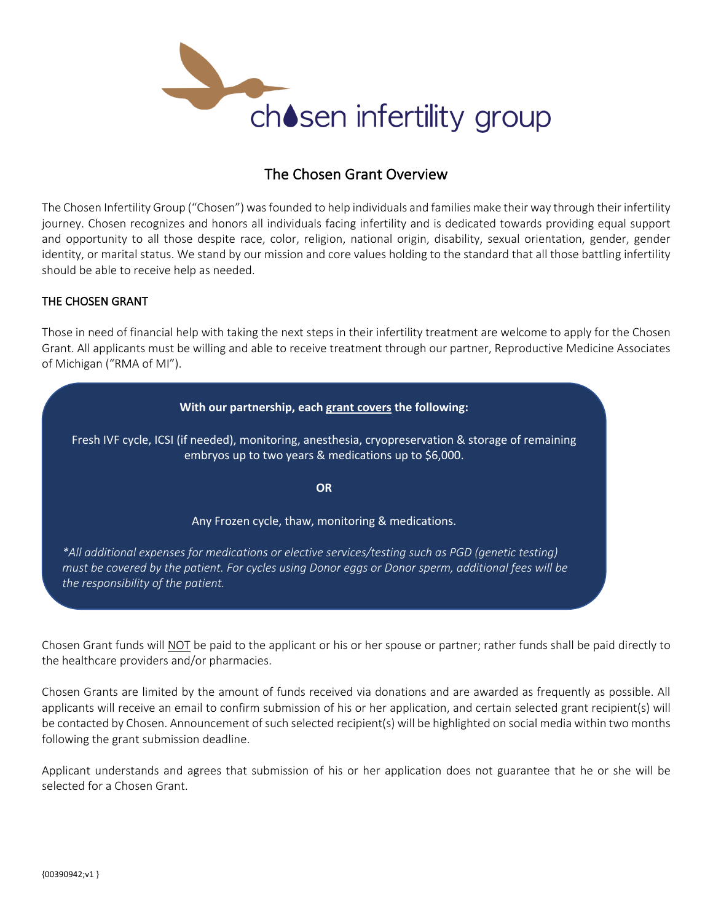

# The Chosen Grant Overview

The Chosen Infertility Group ("Chosen") was founded to help individuals and families make their way through their infertility journey. Chosen recognizes and honors all individuals facing infertility and is dedicated towards providing equal support and opportunity to all those despite race, color, religion, national origin, disability, sexual orientation, gender, gender identity, or marital status. We stand by our mission and core values holding to the standard that all those battling infertility should be able to receive help as needed.

### THE CHOSEN GRANT

Those in need of financial help with taking the next steps in their infertility treatment are welcome to apply for the Chosen Grant. All applicants must be willing and able to receive treatment through our partner, Reproductive Medicine Associates of Michigan ("RMA of MI").

# **With our partnership, each grant covers the following:** Fresh IVF cycle, ICSI (if needed), monitoring, anesthesia, cryopreservation & storage of remaining embryos up to two years & medications up to \$6,000. **OR** Any Frozen cycle, thaw, monitoring & medications. *\*All additional expenses for medications or elective services/testing such as PGD (genetic testing) must be covered by the patient. For cycles using Donor eggs or Donor sperm, additional fees will be the responsibility of the patient.*

Chosen Grant funds will NOT be paid to the applicant or his or her spouse or partner; rather funds shall be paid directly to the healthcare providers and/or pharmacies.

Chosen Grants are limited by the amount of funds received via donations and are awarded as frequently as possible. All applicants will receive an email to confirm submission of his or her application, and certain selected grant recipient(s) will be contacted by Chosen. Announcement of such selected recipient(s) will be highlighted on social media within two months following the grant submission deadline.

Applicant understands and agrees that submission of his or her application does not guarantee that he or she will be selected for a Chosen Grant.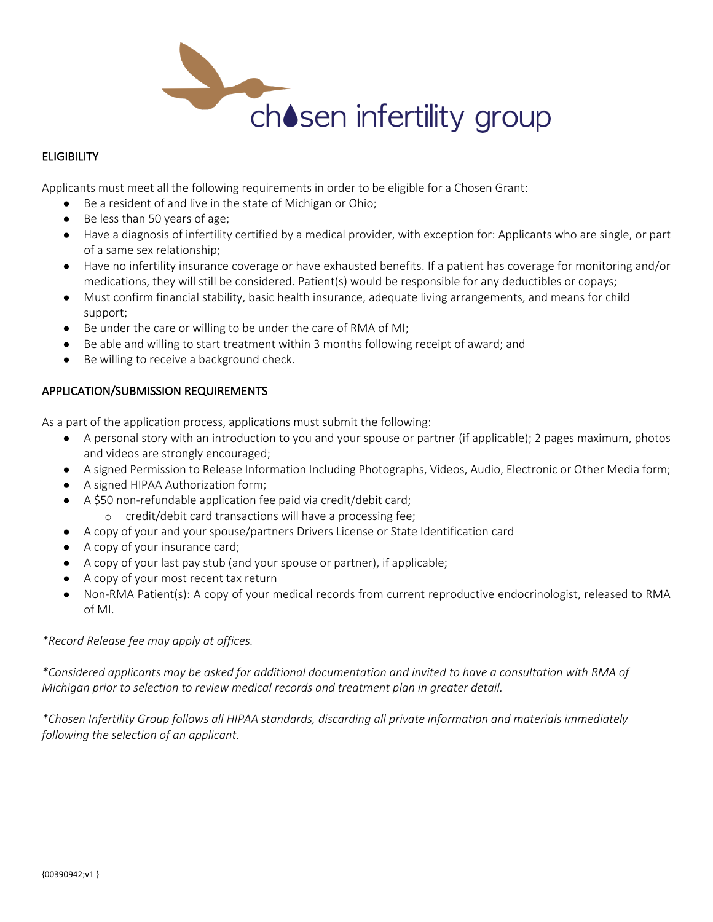

## **ELIGIBILITY**

Applicants must meet all the following requirements in order to be eligible for a Chosen Grant:

- Be a resident of and live in the state of Michigan or Ohio;
- Be less than 50 years of age;
- Have a diagnosis of infertility certified by a medical provider, with exception for: Applicants who are single, or part of a same sex relationship;
- Have no infertility insurance coverage or have exhausted benefits. If a patient has coverage for monitoring and/or medications, they will still be considered. Patient(s) would be responsible for any deductibles or copays;
- Must confirm financial stability, basic health insurance, adequate living arrangements, and means for child support;
- Be under the care or willing to be under the care of RMA of MI;
- Be able and willing to start treatment within 3 months following receipt of award; and
- Be willing to receive a background check.

### APPLICATION/SUBMISSION REQUIREMENTS

As a part of the application process, applications must submit the following:

- A personal story with an introduction to you and your spouse or partner (if applicable); 2 pages maximum, photos and videos are strongly encouraged;
- A signed Permission to Release Information Including Photographs, Videos, Audio, Electronic or Other Media form;
- A signed HIPAA Authorization form;
- A \$50 non-refundable application fee paid via credit/debit card;
	- o credit/debit card transactions will have a processing fee;
- A copy of your and your spouse/partners Drivers License or State Identification card
- A copy of your insurance card;
- A copy of your last pay stub (and your spouse or partner), if applicable;
- A copy of your most recent tax return
- Non-RMA Patient(s): A copy of your medical records from current reproductive endocrinologist, released to RMA of MI.

#### *\*Record Release fee may apply at offices.*

*\*Considered applicants may be asked for additional documentation and invited to have a consultation with RMA of Michigan prior to selection to review medical records and treatment plan in greater detail.*

*\*Chosen Infertility Group follows all HIPAA standards, discarding all private information and materials immediately following the selection of an applicant.*